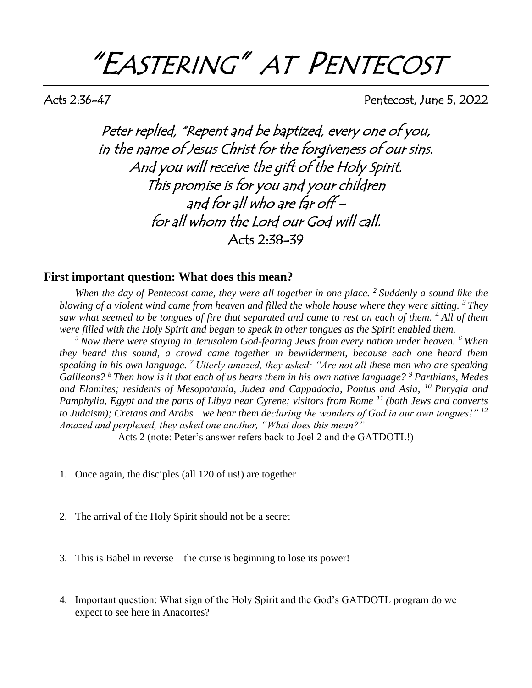# "EASTERING" AT PENTECOST

Acts 2:36-47 Pentecost, June 5, 2022

Peter replied, "Repent and be baptized, every one of you, in the name of Jesus Christ for the forgiveness of our sins. And you will receive the gift of the Holy Spirit. This promise is for you and your children and for all who are far off – for all whom the Lord our God will call. Acts 2:38-39

## **First important question: What does this mean?**

*When the day of Pentecost came, they were all together in one place. <sup>2</sup>Suddenly a sound like the blowing of a violent wind came from heaven and filled the whole house where they were sitting. <sup>3</sup>They saw what seemed to be tongues of fire that separated and came to rest on each of them. <sup>4</sup>All of them were filled with the Holy Spirit and began to speak in other tongues as the Spirit enabled them.* 

*<sup>5</sup>Now there were staying in Jerusalem God-fearing Jews from every nation under heaven. <sup>6</sup>When they heard this sound, a crowd came together in bewilderment, because each one heard them speaking in his own language. <sup>7</sup>Utterly amazed, they asked: "Are not all these men who are speaking Galileans? <sup>8</sup>Then how is it that each of us hears them in his own native language? <sup>9</sup>Parthians, Medes and Elamites; residents of Mesopotamia, Judea and Cappadocia, Pontus and Asia, <sup>10</sup>Phrygia and Pamphylia, Egypt and the parts of Libya near Cyrene; visitors from Rome <sup>11</sup>(both Jews and converts to Judaism); Cretans and Arabs—we hear them declaring the wonders of God in our own tongues!" <sup>12</sup> Amazed and perplexed, they asked one another, "What does this mean?"*

Acts 2 (note: Peter's answer refers back to Joel 2 and the GATDOTL!)

- 1. Once again, the disciples (all 120 of us!) are together
- 2. The arrival of the Holy Spirit should not be a secret
- 3. This is Babel in reverse the curse is beginning to lose its power!
- 4. Important question: What sign of the Holy Spirit and the God's GATDOTL program do we expect to see here in Anacortes?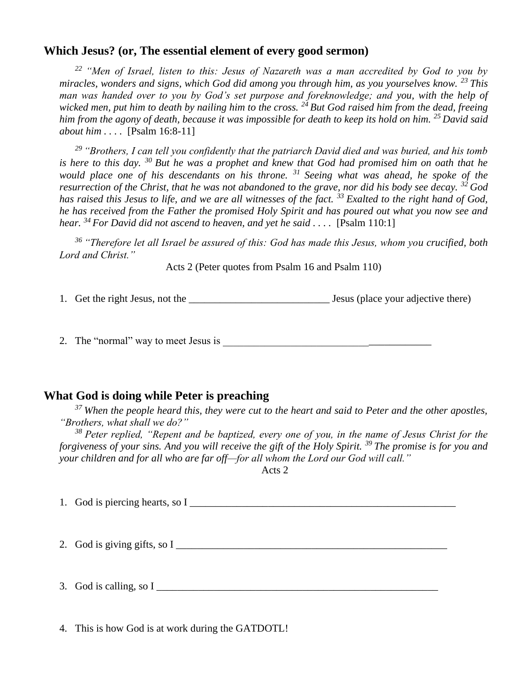## **Which Jesus? (or, The essential element of every good sermon)**

*<sup>22</sup>"Men of Israel, listen to this: Jesus of Nazareth was a man accredited by God to you by miracles, wonders and signs, which God did among you through him, as you yourselves know. <sup>23</sup>This man was handed over to you by God's set purpose and foreknowledge; and you, with the help of wicked men, put him to death by nailing him to the cross. <sup>24</sup>But God raised him from the dead, freeing him from the agony of death, because it was impossible for death to keep its hold on him. <sup>25</sup>David said about him . . . .* [Psalm 16:8-11]

*<sup>29</sup>"Brothers, I can tell you confidently that the patriarch David died and was buried, and his tomb is here to this day. <sup>30</sup>But he was a prophet and knew that God had promised him on oath that he would place one of his descendants on his throne. <sup>31</sup>Seeing what was ahead, he spoke of the resurrection of the Christ, that he was not abandoned to the grave, nor did his body see decay. <sup>32</sup>God has raised this Jesus to life, and we are all witnesses of the fact. <sup>33</sup>Exalted to the right hand of God, he has received from the Father the promised Holy Spirit and has poured out what you now see and hear. <sup>34</sup>For David did not ascend to heaven, and yet he said . . . .* [Psalm 110:1]

*<sup>36</sup>"Therefore let all Israel be assured of this: God has made this Jesus, whom you crucified, both Lord and Christ."* 

Acts 2 (Peter quotes from Psalm 16 and Psalm 110)

1. Get the right Jesus, not the \_\_\_\_\_\_\_\_\_\_\_\_\_\_\_\_\_\_\_\_\_\_\_\_\_\_\_ Jesus (place your adjective there)

2. The "normal" way to meet Jesus is

# **What God is doing while Peter is preaching**

*<sup>37</sup>When the people heard this, they were cut to the heart and said to Peter and the other apostles, "Brothers, what shall we do?"* 

*<sup>38</sup>Peter replied, "Repent and be baptized, every one of you, in the name of Jesus Christ for the forgiveness of your sins. And you will receive the gift of the Holy Spirit. <sup>39</sup>The promise is for you and your children and for all who are far off—for all whom the Lord our God will call."*

Acts 2

1. God is piercing hearts, so I

2. God is giving gifts, so I \_\_\_\_\_\_\_\_\_\_\_\_\_\_\_\_\_\_\_\_\_\_\_\_\_\_\_\_\_\_\_\_\_\_\_\_\_\_\_\_\_\_\_\_\_\_\_\_\_\_\_\_

3. God is calling, so I

4. This is how God is at work during the GATDOTL!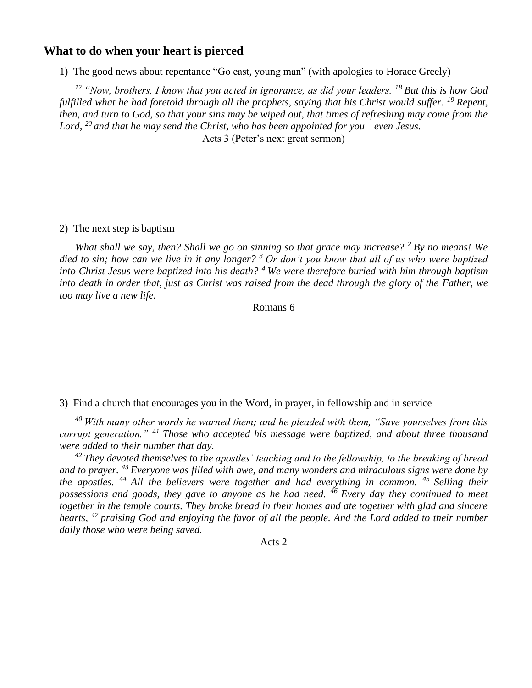### **What to do when your heart is pierced**

1) The good news about repentance "Go east, young man" (with apologies to Horace Greely)

*<sup>17</sup>"Now, brothers, I know that you acted in ignorance, as did your leaders. <sup>18</sup>But this is how God fulfilled what he had foretold through all the prophets, saying that his Christ would suffer. <sup>19</sup>Repent, then, and turn to God, so that your sins may be wiped out, that times of refreshing may come from the Lord, <sup>20</sup>and that he may send the Christ, who has been appointed for you—even Jesus.* Acts 3 (Peter's next great sermon)

#### 2) The next step is baptism

*What shall we say, then? Shall we go on sinning so that grace may increase? <sup>2</sup>By no means! We died to sin; how can we live in it any longer? <sup>3</sup>Or don't you know that all of us who were baptized into Christ Jesus were baptized into his death? <sup>4</sup>We were therefore buried with him through baptism into death in order that, just as Christ was raised from the dead through the glory of the Father, we too may live a new life.* 

#### Romans 6

3) Find a church that encourages you in the Word, in prayer, in fellowship and in service

*<sup>40</sup>With many other words he warned them; and he pleaded with them, "Save yourselves from this corrupt generation." <sup>41</sup>Those who accepted his message were baptized, and about three thousand were added to their number that day.* 

*<sup>42</sup>They devoted themselves to the apostles' teaching and to the fellowship, to the breaking of bread and to prayer. <sup>43</sup>Everyone was filled with awe, and many wonders and miraculous signs were done by the apostles. <sup>44</sup>All the believers were together and had everything in common. <sup>45</sup>Selling their possessions and goods, they gave to anyone as he had need. <sup>46</sup>Every day they continued to meet together in the temple courts. They broke bread in their homes and ate together with glad and sincere hearts, <sup>47</sup>praising God and enjoying the favor of all the people. And the Lord added to their number daily those who were being saved.*

Acts 2